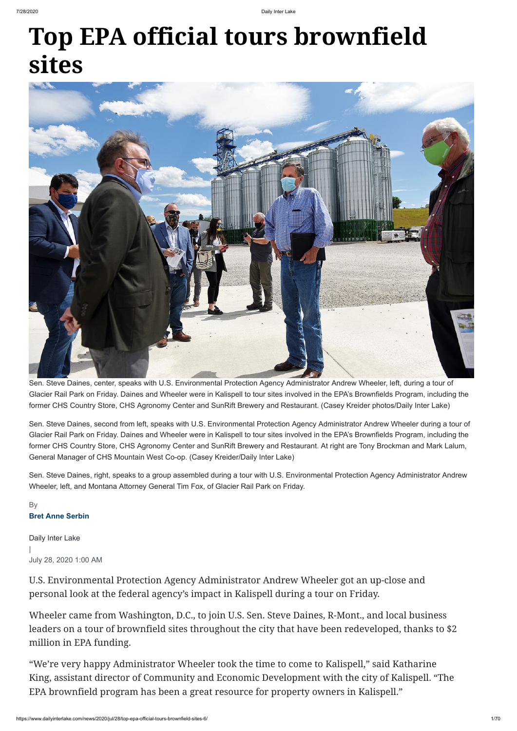## **Top EPA official tours brownfield sites**



Daily Inter Lake

|

## July 28, 2020 1:00 AM

U.S. Environmental Protection Agency Administrator Andrew Wheeler got an up-close and personal look at the federal agency's impact in Kalispell during a tour on Friday.

Wheeler came from Washington, D.C., to join U.S. Sen. Steve Daines, R-Mont., and local business leaders on a tour of brownfield sites throughout the city that have been redeveloped, thanks to \$2 million in EPA funding.

"We're very happy Administrator Wheeler took the time to come to Kalispell," said Katharine King, assistant director of Community and Economic Development with the city of Kalispell. "The EPA brownfield program has been a great resource for property owners in Kalispell."

## **Bret Anne Serbin** By

Sen. Steve Daines, center, speaks with U.S. Environmental Protection Agency Administrator Andrew Wheeler, left, during a tour of Glacier Rail Park on Friday. Daines and Wheeler were in Kalispell to tour sites involved in the EPA's Brownfields Program, including the former CHS Country Store, CHS Agronomy Center and SunRift Brewery and Restaurant. (Casey Kreider photos/Daily Inter Lake)

Sen. Steve Daines, second from left, speaks with U.S. Environmental Protection Agency Administrator Andrew Wheeler during a tour of Glacier Rail Park on Friday. Daines and Wheeler were in Kalispell to tour sites involved in the EPA's Brownfields Program, including the former CHS Country Store, CHS Agronomy Center and SunRift Brewery and Restaurant. At right are Tony Brockman and Mark Lalum, General Manager of CHS Mountain West Co-op. (Casey Kreider/Daily Inter Lake)

Sen. Steve Daines, right, speaks to a group assembled during a tour with U.S. Environmental Protection Agency Administrator Andrew Wheeler, left, and Montana Attorney General Tim Fox, of Glacier Rail Park on Friday.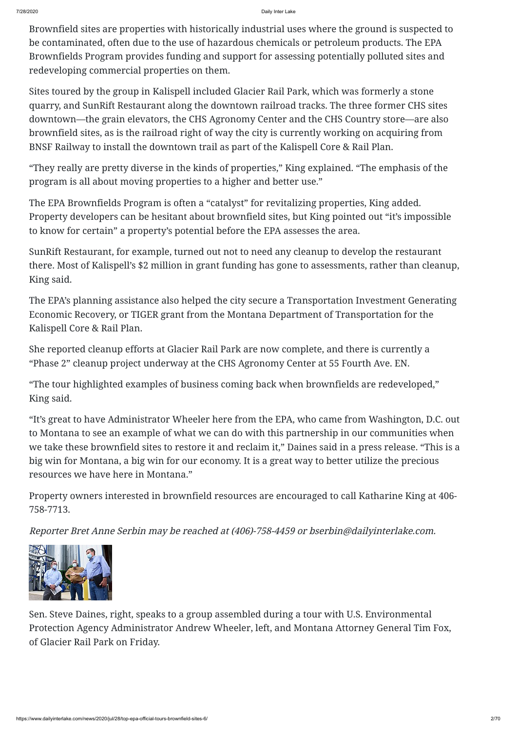7/28/2020 Daily Inter Lake

Brownfield sites are properties with historically industrial uses where the ground is suspected to be contaminated, often due to the use of hazardous chemicals or petroleum products. The EPA Brownfields Program provides funding and support for assessing potentially polluted sites and redeveloping commercial properties on them.

Sites toured by the group in Kalispell included Glacier Rail Park, which was formerly a stone quarry, and SunRift Restaurant along the downtown railroad tracks. The three former CHS sites downtown—the grain elevators, the CHS Agronomy Center and the CHS Country store—are also brownfield sites, as is the railroad right of way the city is currently working on acquiring from BNSF Railway to install the downtown trail as part of the Kalispell Core & Rail Plan.

"They really are pretty diverse in the kinds of properties," King explained. "The emphasis of the program is all about moving properties to a higher and better use."

The EPA Brownfields Program is often a "catalyst" for revitalizing properties, King added. Property developers can be hesitant about brownfield sites, but King pointed out "it's impossible to know for certain" a property's potential before the EPA assesses the area.

SunRift Restaurant, for example, turned out not to need any cleanup to develop the restaurant there. Most of Kalispell's \$2 million in grant funding has gone to assessments, rather than cleanup, King said.

The EPA's planning assistance also helped the city secure a Transportation Investment Generating Economic Recovery, or TIGER grant from the Montana Department of Transportation for the Kalispell Core & Rail Plan.

She reported cleanup efforts at Glacier Rail Park are now complete, and there is currently a "Phase 2" cleanup project underway at the CHS Agronomy Center at 55 Fourth Ave. EN.

"The tour highlighted examples of business coming back when brownfields are redeveloped," King said.

"It's great to have Administrator Wheeler here from the EPA, who came from Washington, D.C. out to Montana to see an example of what we can do with this partnership in our communities when we take these brownfield sites to restore it and reclaim it," Daines said in a press release. "This is a big win for Montana, a big win for our economy. It is a great way to better utilize the precious resources we have here in Montana."

Property owners interested in brownfield resources are encouraged to call Katharine King at 406- 758-7713.

Reporter Bret Anne Serbin may be reached at (406)-758-4459 or bserbin@dailyinterlake.com.





Sen. Steve Daines, right, speaks to a group assembled during a tour with U.S. Environmental Protection Agency Administrator Andrew Wheeler, left, and Montana Attorney General Tim Fox, of Glacier Rail Park on Friday.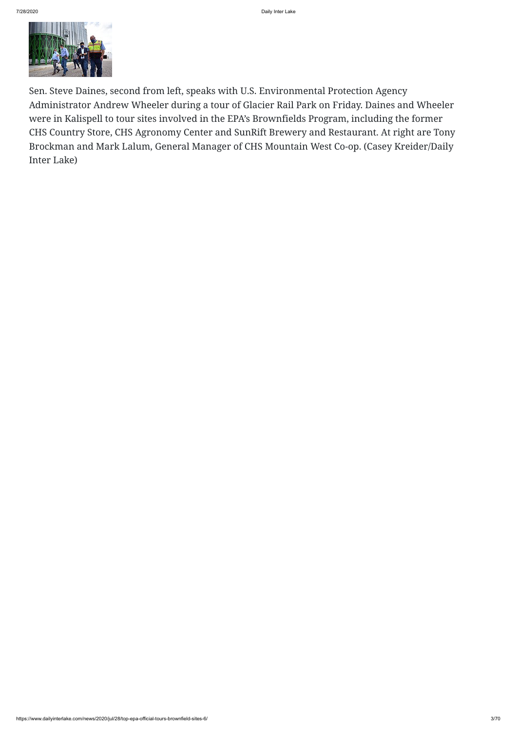

Sen. Steve Daines, second from left, speaks with U.S. Environmental Protection Agency Administrator Andrew Wheeler during a tour of Glacier Rail Park on Friday. Daines and Wheeler were in Kalispell to tour sites involved in the EPA's Brownfields Program, including the former CHS Country Store, CHS Agronomy Center and SunRift Brewery and Restaurant. At right are Tony Brockman and Mark Lalum, General Manager of CHS Mountain West Co-op. (Casey Kreider/Daily Inter Lake)